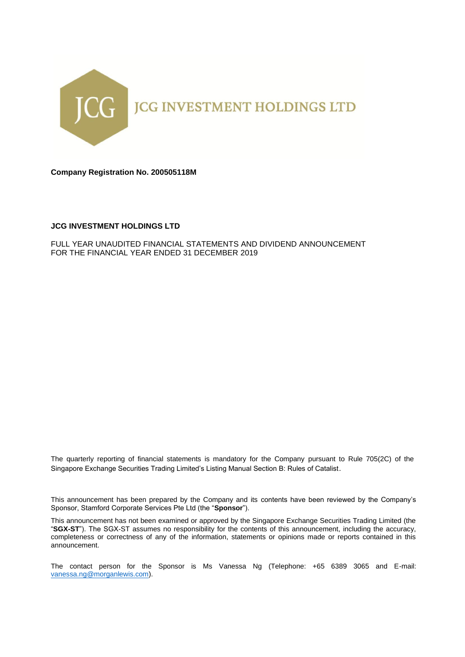

**Company Registration No. 200505118M**

## **JCG INVESTMENT HOLDINGS LTD**

FULL YEAR UNAUDITED FINANCIAL STATEMENTS AND DIVIDEND ANNOUNCEMENT FOR THE FINANCIAL YEAR ENDED 31 DECEMBER 2019

The quarterly reporting of financial statements is mandatory for the Company pursuant to Rule 705(2C) of the Singapore Exchange Securities Trading Limited's Listing Manual Section B: Rules of Catalist.

This announcement has been prepared by the Company and its contents have been reviewed by the Company's Sponsor, Stamford Corporate Services Pte Ltd (the "**Sponsor**").

This announcement has not been examined or approved by the Singapore Exchange Securities Trading Limited (the "**SGX-ST**"). The SGX-ST assumes no responsibility for the contents of this announcement, including the accuracy, completeness or correctness of any of the information, statements or opinions made or reports contained in this announcement.

The contact person for the Sponsor is Ms Vanessa Ng (Telephone: +65 6389 3065 and E-mail: [vanessa.ng@morganlewis.com\)](mailto:vanessa.ng@morganlewis.com).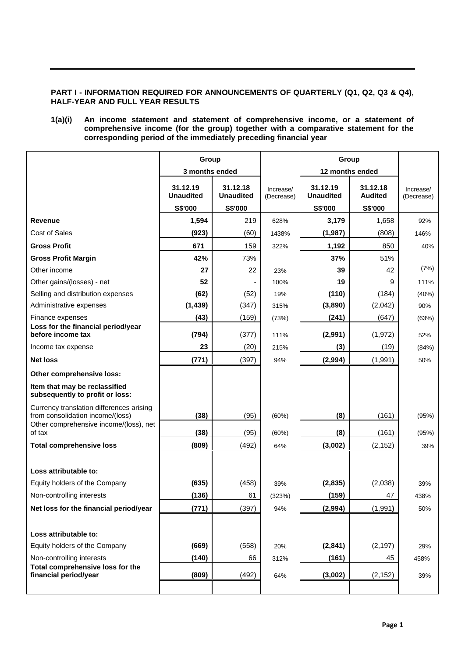# **PART I - INFORMATION REQUIRED FOR ANNOUNCEMENTS OF QUARTERLY (Q1, Q2, Q3 & Q4), HALF-YEAR AND FULL YEAR RESULTS**

# **1(a)(i) An income statement and statement of comprehensive income, or a statement of comprehensive income (for the group) together with a comparative statement for the corresponding period of the immediately preceding financial year**

|                                                                              | Group                                   |                                         |                         |                                         | Group                                 |                         |
|------------------------------------------------------------------------------|-----------------------------------------|-----------------------------------------|-------------------------|-----------------------------------------|---------------------------------------|-------------------------|
|                                                                              | 3 months ended                          |                                         |                         |                                         | 12 months ended                       |                         |
|                                                                              | 31.12.19<br><b>Unaudited</b><br>S\$'000 | 31.12.18<br><b>Unaudited</b><br>S\$'000 | Increase/<br>(Decrease) | 31.12.19<br><b>Unaudited</b><br>S\$'000 | 31.12.18<br><b>Audited</b><br>S\$'000 | Increase/<br>(Decrease) |
| <b>Revenue</b>                                                               | 1,594                                   | 219                                     | 628%                    | 3,179                                   | 1,658                                 | 92%                     |
| <b>Cost of Sales</b>                                                         | (923)                                   | (60)                                    | 1438%                   | (1, 987)                                | (808)                                 | 146%                    |
| <b>Gross Profit</b>                                                          |                                         |                                         |                         |                                         |                                       |                         |
|                                                                              | 671                                     | 159                                     | 322%                    | 1,192                                   | 850                                   | 40%                     |
| <b>Gross Profit Margin</b>                                                   | 42%                                     | 73%                                     |                         | 37%                                     | 51%                                   | (7%)                    |
| Other income                                                                 | 27                                      | 22                                      | 23%                     | 39                                      | 42                                    |                         |
| Other gains/(losses) - net                                                   | 52                                      |                                         | 100%                    | 19                                      | 9                                     | 111%                    |
| Selling and distribution expenses                                            | (62)                                    | (52)                                    | 19%                     | (110)                                   | (184)                                 | (40%)                   |
| Administrative expenses                                                      | (1, 439)                                | (347)                                   | 315%                    | (3,890)                                 | (2,042)                               | 90%                     |
| Finance expenses<br>Loss for the financial period/year                       | (43)                                    | (159)                                   | (73%)                   | (241)                                   | (647)                                 | (63%)                   |
| before income tax                                                            | (794)                                   | (377)                                   | 111%                    | (2,991)                                 | (1, 972)                              | 52%                     |
| Income tax expense                                                           | 23                                      | (20)                                    | 215%                    | (3)                                     | (19)                                  | (84%)                   |
| <b>Net loss</b>                                                              | (771)                                   | (397)                                   | 94%                     | (2,994)                                 | (1, 991)                              | 50%                     |
| Other comprehensive loss:                                                    |                                         |                                         |                         |                                         |                                       |                         |
| Item that may be reclassified<br>subsequently to profit or loss:             |                                         |                                         |                         |                                         |                                       |                         |
| Currency translation differences arising<br>from consolidation income/(loss) | (38)                                    | (95)                                    | (60%)                   | (8)                                     | (161)                                 | (95%)                   |
| Other comprehensive income/(loss), net<br>of tax                             | (38)                                    | (95)                                    | (60%)                   | (8)                                     | (161)                                 | (95%)                   |
| <b>Total comprehensive loss</b>                                              | (809)                                   | (492)                                   | 64%                     | (3,002)                                 | (2, 152)                              | 39%                     |
|                                                                              |                                         |                                         |                         |                                         |                                       |                         |
| Loss attributable to:                                                        |                                         |                                         |                         |                                         |                                       |                         |
| Equity holders of the Company                                                | (635)                                   | (458)                                   | 39%                     | (2,835)                                 | (2,038)                               | 39%                     |
| Non-controlling interests                                                    | (136)                                   | 61                                      | (323%)                  | (159)                                   | 47                                    | 438%                    |
| Net loss for the financial period/year                                       | (771)                                   | (397)                                   | 94%                     | (2,994)                                 | (1, 991)                              | 50%                     |
|                                                                              |                                         |                                         |                         |                                         |                                       |                         |
| Loss attributable to:                                                        |                                         |                                         |                         |                                         |                                       |                         |
| Equity holders of the Company                                                | (669)                                   | (558)                                   | 20%                     | (2,841)                                 | (2, 197)                              | 29%                     |
| Non-controlling interests<br>Total comprehensive loss for the                | (140)                                   | 66                                      | 312%                    | (161)                                   | 45                                    | 458%                    |
| financial period/year                                                        | (809)                                   | (492)                                   | 64%                     | (3,002)                                 | (2, 152)                              | 39%                     |
|                                                                              |                                         |                                         |                         |                                         |                                       |                         |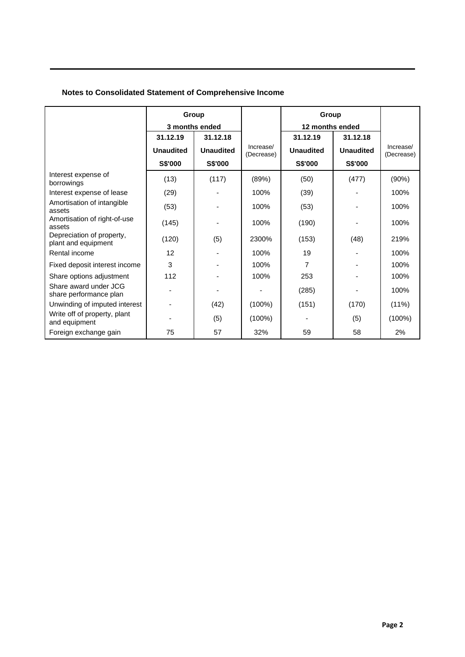# **Notes to Consolidated Statement of Comprehensive Income**

|                                                  | Group            |                  |                         | Group            |                  |                         |
|--------------------------------------------------|------------------|------------------|-------------------------|------------------|------------------|-------------------------|
|                                                  |                  | 3 months ended   |                         | 12 months ended  |                  |                         |
|                                                  | 31.12.19         | 31.12.18         |                         | 31.12.19         | 31.12.18         |                         |
|                                                  | <b>Unaudited</b> | <b>Unaudited</b> | Increase/<br>(Decrease) | <b>Unaudited</b> | <b>Unaudited</b> | Increase/<br>(Decrease) |
|                                                  | S\$'000          | S\$'000          |                         | S\$'000          | S\$'000          |                         |
| Interest expense of<br>borrowings                | (13)             | (117)            | (89%)                   | (50)             | (477)            | (90%)                   |
| Interest expense of lease                        | (29)             |                  | 100%                    | (39)             |                  | 100%                    |
| Amortisation of intangible<br>assets             | (53)             |                  | 100%                    | (53)             |                  | 100%                    |
| Amortisation of right-of-use<br>assets           | (145)            |                  | 100%                    | (190)            |                  | 100%                    |
| Depreciation of property,<br>plant and equipment | (120)            | (5)              | 2300%                   | (153)            | (48)             | 219%                    |
| Rental income                                    | 12               |                  | 100%                    | 19               |                  | 100%                    |
| Fixed deposit interest income                    | 3                |                  | 100%                    | 7                |                  | 100%                    |
| Share options adjustment                         | 112              |                  | 100%                    | 253              |                  | 100%                    |
| Share award under JCG<br>share performance plan  |                  |                  |                         | (285)            |                  | 100%                    |
| Unwinding of imputed interest                    |                  | (42)             | $(100\%)$               | (151)            | (170)            | $(11\%)$                |
| Write off of property, plant<br>and equipment    |                  | (5)              | $(100\%)$               |                  | (5)              | $(100\%)$               |
| Foreign exchange gain                            | 75               | 57               | 32%                     | 59               | 58               | 2%                      |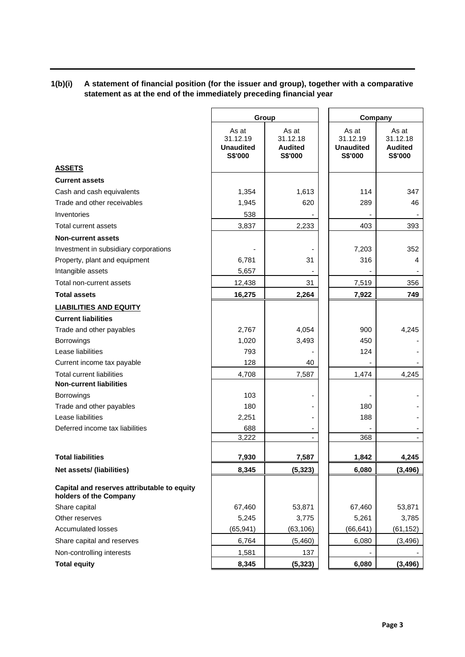# **1(b)(i) A statement of financial position (for the issuer and group), together with a comparative statement as at the end of the immediately preceding financial year**

|                                                                       | Group                                            |                                                | Company                                          |                                                |
|-----------------------------------------------------------------------|--------------------------------------------------|------------------------------------------------|--------------------------------------------------|------------------------------------------------|
|                                                                       | As at<br>31.12.19<br><b>Unaudited</b><br>S\$'000 | As at<br>31.12.18<br><b>Audited</b><br>S\$'000 | As at<br>31.12.19<br><b>Unaudited</b><br>S\$'000 | As at<br>31.12.18<br><b>Audited</b><br>S\$'000 |
| <b>ASSETS</b>                                                         |                                                  |                                                |                                                  |                                                |
| <b>Current assets</b>                                                 |                                                  |                                                |                                                  |                                                |
| Cash and cash equivalents                                             | 1,354                                            | 1,613                                          | 114                                              | 347                                            |
| Trade and other receivables                                           | 1,945                                            | 620                                            | 289                                              | 46                                             |
| Inventories                                                           | 538                                              |                                                |                                                  |                                                |
| Total current assets                                                  | 3,837                                            | 2,233                                          | 403                                              | 393                                            |
| <b>Non-current assets</b>                                             |                                                  |                                                |                                                  |                                                |
| Investment in subsidiary corporations                                 |                                                  |                                                | 7,203                                            | 352                                            |
| Property, plant and equipment                                         | 6,781                                            | 31                                             | 316                                              | 4                                              |
| Intangible assets                                                     | 5,657                                            |                                                |                                                  |                                                |
| Total non-current assets                                              | 12,438                                           | 31                                             | 7,519                                            | 356                                            |
| <b>Total assets</b>                                                   | 16,275                                           | 2,264                                          | 7,922                                            | 749                                            |
| <b>LIABILITIES AND EQUITY</b>                                         |                                                  |                                                |                                                  |                                                |
| <b>Current liabilities</b>                                            |                                                  |                                                |                                                  |                                                |
| Trade and other payables                                              | 2,767                                            | 4,054                                          | 900                                              | 4,245                                          |
| <b>Borrowings</b>                                                     | 1,020                                            | 3,493                                          | 450                                              |                                                |
| Lease liabilities                                                     | 793                                              |                                                | 124                                              |                                                |
| Current income tax payable                                            | 128                                              | 40                                             |                                                  |                                                |
| <b>Total current liabilities</b>                                      | 4,708                                            | 7,587                                          | 1,474                                            | 4,245                                          |
| <b>Non-current liabilities</b>                                        |                                                  |                                                |                                                  |                                                |
| <b>Borrowings</b>                                                     | 103                                              | $\blacksquare$                                 |                                                  |                                                |
| Trade and other payables                                              | 180                                              |                                                | 180                                              |                                                |
| Lease liabilities                                                     | 2,251                                            |                                                | 188                                              |                                                |
| Deferred income tax liabilities                                       | 688                                              | $\overline{\phantom{0}}$                       |                                                  | ٠                                              |
|                                                                       | 3,222                                            |                                                | 368                                              |                                                |
| <b>Total liabilities</b>                                              | 7,930                                            | 7,587                                          | 1,842                                            | 4,245                                          |
| Net assets/ (liabilities)                                             | 8,345                                            | (5, 323)                                       | 6,080                                            | (3, 496)                                       |
| Capital and reserves attributable to equity<br>holders of the Company |                                                  |                                                |                                                  |                                                |
| Share capital                                                         | 67,460                                           | 53,871                                         | 67,460                                           | 53,871                                         |
| Other reserves                                                        | 5,245                                            | 3,775                                          | 5,261                                            | 3,785                                          |
| <b>Accumulated losses</b>                                             | (65, 941)                                        | (63, 106)                                      | (66, 641)                                        | (61, 152)                                      |
| Share capital and reserves                                            | 6,764                                            | (5,460)                                        | 6,080                                            | (3, 496)                                       |
| Non-controlling interests                                             | 1,581                                            | 137                                            |                                                  |                                                |
| <b>Total equity</b>                                                   | 8,345                                            | (5, 323)                                       | 6,080                                            | (3, 496)                                       |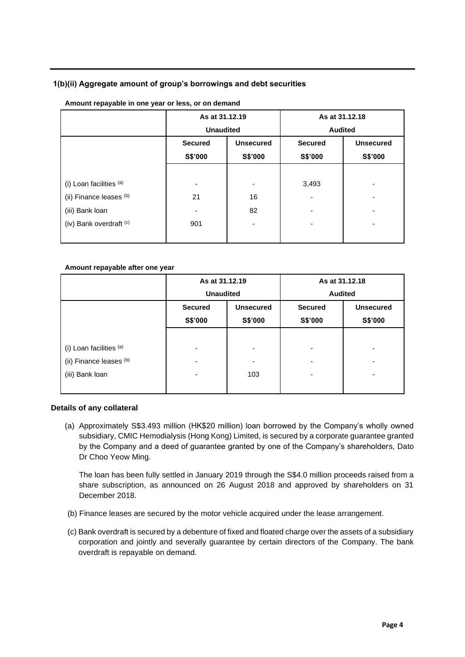# **1(b)(ii) Aggregate amount of group's borrowings and debt securities**

|                         | As at 31.12.19<br><b>Unaudited</b> |                             | <b>Audited</b>            | As at 31.12.18              |
|-------------------------|------------------------------------|-----------------------------|---------------------------|-----------------------------|
|                         | <b>Secured</b><br>S\$'000          | <b>Unsecured</b><br>S\$'000 | <b>Secured</b><br>S\$'000 | <b>Unsecured</b><br>S\$'000 |
|                         |                                    |                             |                           |                             |
| (i) Loan facilities (a) |                                    |                             | 3,493                     |                             |
| (ii) Finance leases (b) | 21                                 | 16                          |                           |                             |
| (iii) Bank loan         | -                                  | 82                          |                           |                             |
| (iv) Bank overdraft (c) | 901                                | ۰                           |                           |                             |
|                         |                                    |                             |                           |                             |

# **Amount repayable in one year or less, or on demand**

#### **Amount repayable after one year**

|                         | As at 31.12.19                     |         | As at 31.12.18 |                  |  |
|-------------------------|------------------------------------|---------|----------------|------------------|--|
|                         | <b>Unaudited</b>                   |         | <b>Audited</b> |                  |  |
|                         | <b>Unsecured</b><br><b>Secured</b> |         | <b>Secured</b> | <b>Unsecured</b> |  |
|                         | S\$'000                            | S\$'000 | S\$'000        | S\$'000          |  |
|                         |                                    |         |                |                  |  |
| (i) Loan facilities (a) | $\overline{\phantom{0}}$           | ۰       | ٠              | ۰                |  |
| (ii) Finance leases (b) | $\overline{\phantom{0}}$           | ۰       | ٠              |                  |  |
| (iii) Bank loan         | -                                  | 103     | ٠              | ۰                |  |
|                         |                                    |         |                |                  |  |

# **Details of any collateral**

(a) Approximately S\$3.493 million (HK\$20 million) loan borrowed by the Company's wholly owned subsidiary, CMIC Hemodialysis (Hong Kong) Limited, is secured by a corporate guarantee granted by the Company and a deed of guarantee granted by one of the Company's shareholders, Dato Dr Choo Yeow Ming.

The loan has been fully settled in January 2019 through the S\$4.0 million proceeds raised from a share subscription, as announced on 26 August 2018 and approved by shareholders on 31 December 2018.

- (b) Finance leases are secured by the motor vehicle acquired under the lease arrangement.
- (c) Bank overdraft is secured by a debenture of fixed and floated charge over the assets of a subsidiary corporation and jointly and severally guarantee by certain directors of the Company. The bank overdraft is repayable on demand.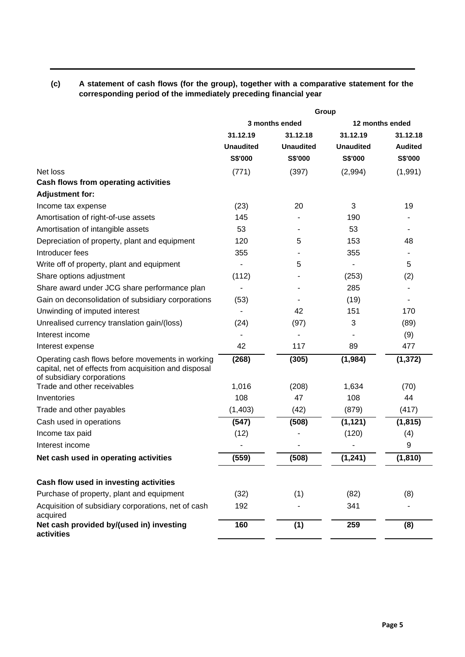**(c) A statement of cash flows (for the group), together with a comparative statement for the corresponding period of the immediately preceding financial year**

|                                                                                                                                         | Group            |                  |                  |                |
|-----------------------------------------------------------------------------------------------------------------------------------------|------------------|------------------|------------------|----------------|
|                                                                                                                                         |                  | 3 months ended   | 12 months ended  |                |
|                                                                                                                                         | 31.12.19         | 31.12.18         | 31.12.19         | 31.12.18       |
|                                                                                                                                         | <b>Unaudited</b> | <b>Unaudited</b> | <b>Unaudited</b> | <b>Audited</b> |
|                                                                                                                                         | S\$'000          | S\$'000          | S\$'000          | S\$'000        |
| Net loss                                                                                                                                | (771)            | (397)            | (2,994)          | (1,991)        |
| Cash flows from operating activities                                                                                                    |                  |                  |                  |                |
| <b>Adjustment for:</b>                                                                                                                  |                  |                  |                  |                |
| Income tax expense                                                                                                                      | (23)             | 20               | 3                | 19             |
| Amortisation of right-of-use assets                                                                                                     | 145              |                  | 190              |                |
| Amortisation of intangible assets                                                                                                       | 53               |                  | 53               |                |
| Depreciation of property, plant and equipment                                                                                           | 120              | 5                | 153              | 48             |
| Introducer fees                                                                                                                         | 355              |                  | 355              |                |
| Write off of property, plant and equipment                                                                                              |                  | 5                |                  | 5              |
| Share options adjustment                                                                                                                | (112)            |                  | (253)            | (2)            |
| Share award under JCG share performance plan                                                                                            |                  |                  | 285              |                |
| Gain on deconsolidation of subsidiary corporations                                                                                      | (53)             |                  | (19)             |                |
| Unwinding of imputed interest                                                                                                           |                  | 42               | 151              | 170            |
| Unrealised currency translation gain/(loss)                                                                                             | (24)             | (97)             | 3                | (89)           |
| Interest income                                                                                                                         |                  |                  |                  | (9)            |
| Interest expense                                                                                                                        | 42               | 117              | 89               | 477            |
| Operating cash flows before movements in working<br>capital, net of effects from acquisition and disposal<br>of subsidiary corporations | (268)            | (305)            | (1,984)          | (1, 372)       |
| Trade and other receivables                                                                                                             | 1,016            | (208)            | 1,634            | (70)           |
| Inventories                                                                                                                             | 108              | 47               | 108              | 44             |
| Trade and other payables                                                                                                                | (1, 403)         | (42)             | (879)            | (417)          |
| Cash used in operations                                                                                                                 | (547)            | (508)            | (1, 121)         | (1, 815)       |
| Income tax paid                                                                                                                         | (12)             |                  | (120)            | (4)            |
| Interest income                                                                                                                         |                  |                  |                  | 9              |
| Net cash used in operating activities                                                                                                   | (559)            | (508)            | (1, 241)         | (1, 810)       |
| Cash flow used in investing activities                                                                                                  |                  |                  |                  |                |
| Purchase of property, plant and equipment                                                                                               | (32)             | (1)              | (82)             | (8)            |
| Acquisition of subsidiary corporations, net of cash<br>acquired                                                                         | 192              |                  | 341              |                |
| Net cash provided by/(used in) investing<br>activities                                                                                  | 160              | (1)              | 259              | (8)            |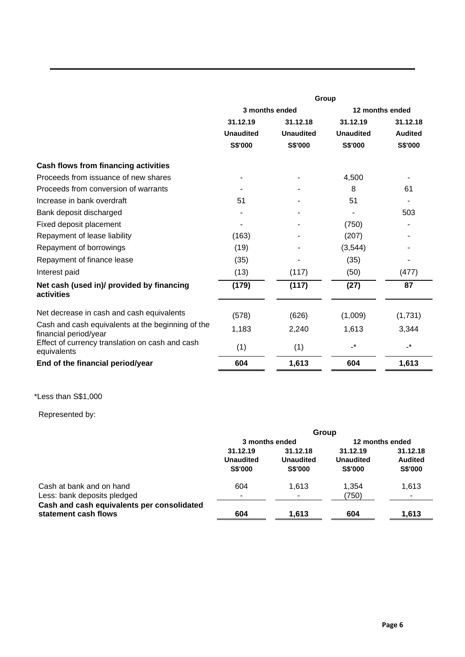|                                                                            | Group            |                  |                  |                          |
|----------------------------------------------------------------------------|------------------|------------------|------------------|--------------------------|
|                                                                            | 3 months ended   |                  | 12 months ended  |                          |
|                                                                            | 31.12.19         | 31.12.18         | 31.12.19         | 31.12.18                 |
|                                                                            | <b>Unaudited</b> | <b>Unaudited</b> | <b>Unaudited</b> | <b>Audited</b>           |
|                                                                            | S\$'000          | S\$'000          | S\$'000          | S\$'000                  |
| <b>Cash flows from financing activities</b>                                |                  |                  |                  |                          |
| Proceeds from issuance of new shares                                       |                  |                  | 4,500            |                          |
| Proceeds from conversion of warrants                                       |                  |                  | 8                | 61                       |
| Increase in bank overdraft                                                 | 51               |                  | 51               |                          |
| Bank deposit discharged                                                    |                  |                  |                  | 503                      |
| Fixed deposit placement                                                    |                  |                  | (750)            |                          |
| Repayment of lease liability                                               | (163)            |                  | (207)            |                          |
| Repayment of borrowings                                                    | (19)             |                  | (3,544)          |                          |
| Repayment of finance lease                                                 | (35)             |                  | (35)             |                          |
| Interest paid                                                              | (13)             | (117)            | (50)             | (477)                    |
| Net cash (used in)/ provided by financing<br>activities                    | (179)            | (117)            | (27)             | 87                       |
| Net decrease in cash and cash equivalents                                  | (578)            | (626)            | (1,009)          | (1,731)                  |
| Cash and cash equivalents at the beginning of the<br>financial period/year | 1,183            | 2,240            | 1,613            | 3,344                    |
| Effect of currency translation on cash and cash<br>equivalents             | (1)              | (1)              | $\cdot^{\star}$  | $\overline{\phantom{a}}$ |
| End of the financial period/year                                           | 604              | 1,613            | 604              | 1,613                    |

\*Less than S\$1,000

# Represented by:

|                                                                    | Group                              |                                    |                                    |                                   |
|--------------------------------------------------------------------|------------------------------------|------------------------------------|------------------------------------|-----------------------------------|
|                                                                    | 3 months ended                     |                                    | 12 months ended                    |                                   |
|                                                                    | 31.12.19                           | 31.12.18                           | 31.12.19                           | 31.12.18                          |
|                                                                    | <b>Unaudited</b><br><b>S\$'000</b> | <b>Unaudited</b><br><b>S\$'000</b> | <b>Unaudited</b><br><b>S\$'000</b> | <b>Audited</b><br>S\$'000         |
| Cash at bank and on hand<br>Less: bank deposits pledged            | 604<br>$\tilde{\phantom{a}}$       | 1.613                              | 1.354<br>(750)                     | 1.613<br>$\overline{\phantom{a}}$ |
| Cash and cash equivalents per consolidated<br>statement cash flows | 604                                | 1.613                              | 604                                | 1.613                             |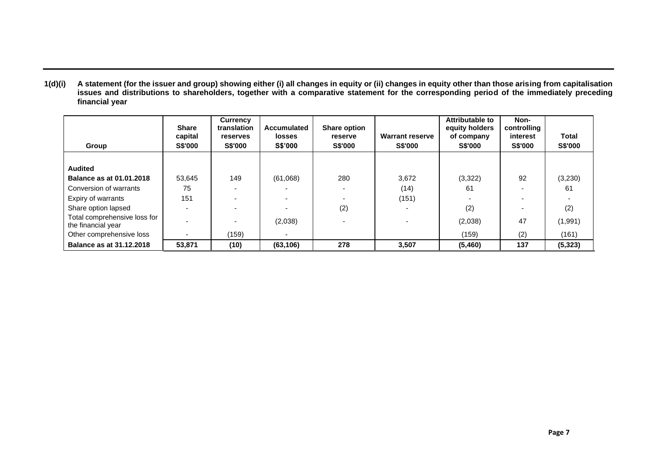**1(d)(i) A statement (for the issuer and group) showing either (i) all changes in equity or (ii) changes in equity other than those arising from capitalisation issues and distributions to shareholders, together with a comparative statement for the corresponding period of the immediately preceding financial year**

| Group                                              | <b>Share</b><br>capital<br><b>S\$'000</b> | <b>Currency</b><br>translation<br><b>reserves</b><br><b>S\$'000</b> | Accumulated<br><b>losses</b><br><b>S\$'000</b> | <b>Share option</b><br><b>reserve</b><br><b>S\$'000</b> | <b>Warrant reserve</b><br><b>S\$'000</b> | Attributable to<br>equity holders<br>of company<br><b>S\$'000</b> | Non-<br>controlling<br>interest<br><b>S\$'000</b> | <b>Total</b><br>S\$'000 |
|----------------------------------------------------|-------------------------------------------|---------------------------------------------------------------------|------------------------------------------------|---------------------------------------------------------|------------------------------------------|-------------------------------------------------------------------|---------------------------------------------------|-------------------------|
|                                                    |                                           |                                                                     |                                                |                                                         |                                          |                                                                   |                                                   |                         |
| <b>Audited</b>                                     |                                           |                                                                     |                                                |                                                         |                                          |                                                                   |                                                   |                         |
| <b>Balance as at 01.01.2018</b>                    | 53,645                                    | 149                                                                 | (61,068)                                       | 280                                                     | 3,672                                    | (3,322)                                                           | 92                                                | (3,230)                 |
| Conversion of warrants                             | 75                                        |                                                                     |                                                |                                                         | (14)                                     | 61                                                                |                                                   | 61                      |
| Expiry of warrants                                 | 151                                       |                                                                     |                                                |                                                         | (151)                                    |                                                                   |                                                   |                         |
| Share option lapsed                                |                                           |                                                                     |                                                | (2)                                                     |                                          | (2)                                                               |                                                   | (2)                     |
| Total comprehensive loss for<br>the financial year |                                           |                                                                     | (2,038)                                        |                                                         |                                          | (2,038)                                                           | 47                                                | (1,991)                 |
| Other comprehensive loss                           |                                           | (159)                                                               | $\sim$                                         |                                                         |                                          | (159)                                                             | (2)                                               | (161)                   |
| <b>Balance as at 31.12.2018</b>                    | 53,871                                    | (10)                                                                | (63, 106)                                      | 278                                                     | 3,507                                    | (5,460)                                                           | 137                                               | (5, 323)                |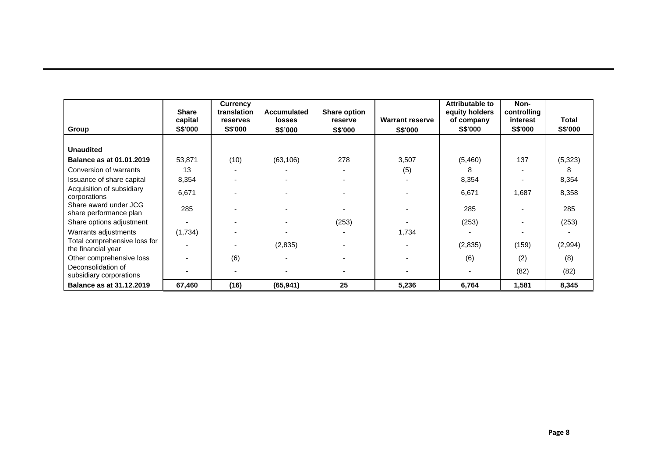| Group                                              | <b>Share</b><br>capital<br><b>S\$'000</b> | <b>Currency</b><br>translation<br><b>reserves</b><br><b>S\$'000</b> | <b>Accumulated</b><br><b>losses</b><br>S\$'000 | <b>Share option</b><br>reserve<br><b>S\$'000</b> | <b>Warrant reserve</b><br><b>S\$'000</b> | Attributable to<br>equity holders<br>of company<br><b>S\$'000</b> | Non-<br>controlling<br>interest<br><b>S\$'000</b> | <b>Total</b><br><b>S\$'000</b> |
|----------------------------------------------------|-------------------------------------------|---------------------------------------------------------------------|------------------------------------------------|--------------------------------------------------|------------------------------------------|-------------------------------------------------------------------|---------------------------------------------------|--------------------------------|
|                                                    |                                           |                                                                     |                                                |                                                  |                                          |                                                                   |                                                   |                                |
| <b>Unaudited</b>                                   |                                           |                                                                     |                                                |                                                  |                                          |                                                                   |                                                   |                                |
| <b>Balance as at 01.01.2019</b>                    | 53,871                                    | (10)                                                                | (63, 106)                                      | 278                                              | 3,507                                    | (5,460)                                                           | 137                                               | (5, 323)                       |
| Conversion of warrants                             | 13                                        |                                                                     |                                                |                                                  | (5)                                      | 8                                                                 |                                                   | 8                              |
| Issuance of share capital                          | 8,354                                     |                                                                     |                                                |                                                  |                                          | 8,354                                                             |                                                   | 8,354                          |
| Acquisition of subsidiary<br>corporations          | 6,671                                     |                                                                     |                                                |                                                  |                                          | 6,671                                                             | 1,687                                             | 8,358                          |
| Share award under JCG<br>share performance plan    | 285                                       |                                                                     |                                                |                                                  |                                          | 285                                                               |                                                   | 285                            |
| Share options adjustment                           |                                           |                                                                     |                                                | (253)                                            |                                          | (253)                                                             |                                                   | (253)                          |
| Warrants adjustments                               | (1,734)                                   |                                                                     |                                                |                                                  | 1,734                                    |                                                                   |                                                   |                                |
| Total comprehensive loss for<br>the financial year |                                           |                                                                     | (2,835)                                        |                                                  |                                          | (2,835)                                                           | (159)                                             | (2,994)                        |
| Other comprehensive loss                           |                                           | (6)                                                                 |                                                |                                                  |                                          | (6)                                                               | (2)                                               | (8)                            |
| Deconsolidation of<br>subsidiary corporations      |                                           |                                                                     |                                                |                                                  |                                          |                                                                   | (82)                                              | (82)                           |
| <b>Balance as at 31.12.2019</b>                    | 67,460                                    | (16)                                                                | (65, 941)                                      | 25                                               | 5,236                                    | 6,764                                                             | 1,581                                             | 8,345                          |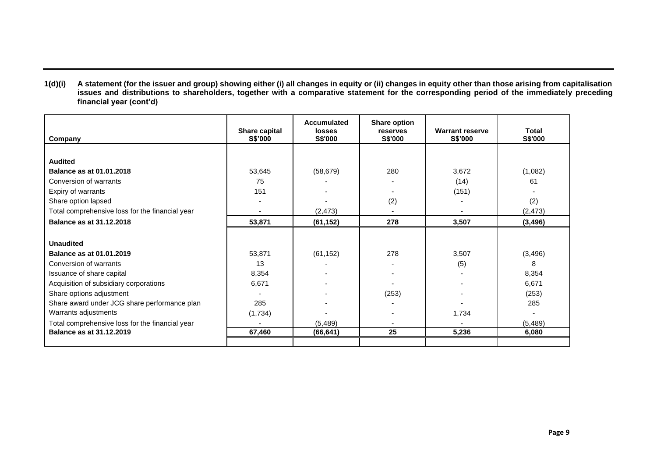**1(d)(i) A statement (for the issuer and group) showing either (i) all changes in equity or (ii) changes in equity other than those arising from capitalisation issues and distributions to shareholders, together with a comparative statement for the corresponding period of the immediately preceding financial year (cont'd)**

| Company                                         | Share capital<br><b>S\$'000</b> | Accumulated<br>losses<br>S\$'000 | Share option<br>reserves<br>S\$'000 | <b>Warrant reserve</b><br>S\$'000 | <b>Total</b><br>S\$'000 |
|-------------------------------------------------|---------------------------------|----------------------------------|-------------------------------------|-----------------------------------|-------------------------|
|                                                 |                                 |                                  |                                     |                                   |                         |
| <b>Audited</b>                                  |                                 |                                  |                                     |                                   |                         |
| Balance as at 01.01.2018                        | 53,645                          | (58, 679)                        | 280                                 | 3,672                             | (1,082)                 |
| Conversion of warrants                          | 75                              |                                  |                                     | (14)                              | 61                      |
| Expiry of warrants                              | 151                             |                                  |                                     | (151)                             |                         |
| Share option lapsed                             |                                 |                                  | (2)                                 |                                   | (2)                     |
| Total comprehensive loss for the financial year |                                 | (2, 473)                         |                                     |                                   | (2, 473)                |
| <b>Balance as at 31.12.2018</b>                 | 53,871                          | (61, 152)                        | 278                                 | 3,507                             | (3, 496)                |
|                                                 |                                 |                                  |                                     |                                   |                         |
| <b>Unaudited</b>                                |                                 |                                  |                                     |                                   |                         |
| <b>Balance as at 01.01.2019</b>                 | 53,871                          | (61, 152)                        | 278                                 | 3,507                             | (3, 496)                |
| Conversion of warrants                          | 13                              |                                  |                                     | (5)                               | 8                       |
| Issuance of share capital                       | 8,354                           |                                  |                                     |                                   | 8,354                   |
| Acquisition of subsidiary corporations          | 6,671                           |                                  |                                     |                                   | 6,671                   |
| Share options adjustment                        |                                 |                                  | (253)                               |                                   | (253)                   |
| Share award under JCG share performance plan    | 285                             |                                  |                                     |                                   | 285                     |
| Warrants adjustments                            | (1,734)                         |                                  |                                     | 1,734                             |                         |
| Total comprehensive loss for the financial year |                                 | (5, 489)                         |                                     |                                   | (5,489)                 |
| <b>Balance as at 31.12.2019</b>                 | 67,460                          | (66, 641)                        | 25                                  | 5,236                             | 6,080                   |
|                                                 |                                 |                                  |                                     |                                   |                         |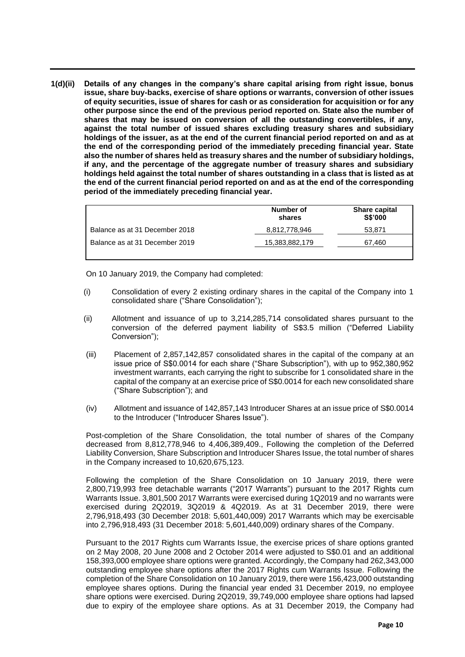**1(d)(ii) Details of any changes in the company's share capital arising from right issue, bonus issue, share buy-backs, exercise of share options or warrants, conversion of other issues of equity securities, issue of shares for cash or as consideration for acquisition or for any other purpose since the end of the previous period reported on. State also the number of shares that may be issued on conversion of all the outstanding convertibles, if any, against the total number of issued shares excluding treasury shares and subsidiary holdings of the issuer, as at the end of the current financial period reported on and as at the end of the corresponding period of the immediately preceding financial year. State also the number of shares held as treasury shares and the number of subsidiary holdings, if any, and the percentage of the aggregate number of treasury shares and subsidiary holdings held against the total number of shares outstanding in a class that is listed as at the end of the current financial period reported on and as at the end of the corresponding period of the immediately preceding financial year.**

|                                | Number of<br>shares | <b>Share capital</b><br><b>S\$'000</b> |
|--------------------------------|---------------------|----------------------------------------|
| Balance as at 31 December 2018 | 8,812,778,946       | 53.871                                 |
| Balance as at 31 December 2019 | 15,383,882,179      | 67.460                                 |
|                                |                     |                                        |

On 10 January 2019, the Company had completed:

- (i) Consolidation of every 2 existing ordinary shares in the capital of the Company into 1 consolidated share ("Share Consolidation");
- (ii) Allotment and issuance of up to 3,214,285,714 consolidated shares pursuant to the conversion of the deferred payment liability of S\$3.5 million ("Deferred Liability Conversion");
- (iii) Placement of 2,857,142,857 consolidated shares in the capital of the company at an issue price of S\$0.0014 for each share ("Share Subscription"), with up to 952,380,952 investment warrants, each carrying the right to subscribe for 1 consolidated share in the capital of the company at an exercise price of S\$0.0014 for each new consolidated share ("Share Subscription"); and
- (iv) Allotment and issuance of 142,857,143 Introducer Shares at an issue price of S\$0.0014 to the Introducer ("Introducer Shares Issue").

Post-completion of the Share Consolidation, the total number of shares of the Company decreased from 8,812,778,946 to 4,406,389,409., Following the completion of the Deferred Liability Conversion, Share Subscription and Introducer Shares Issue, the total number of shares in the Company increased to 10,620,675,123.

Following the completion of the Share Consolidation on 10 January 2019, there were 2,800,719,993 free detachable warrants ("2017 Warrants") pursuant to the 2017 Rights cum Warrants Issue. 3,801,500 2017 Warrants were exercised during 1Q2019 and no warrants were exercised during 2Q2019, 3Q2019 & 4Q2019. As at 31 December 2019, there were 2,796,918,493 (30 December 2018: 5,601,440,009) 2017 Warrants which may be exercisable into 2,796,918,493 (31 December 2018: 5,601,440,009) ordinary shares of the Company.

Pursuant to the 2017 Rights cum Warrants Issue, the exercise prices of share options granted on 2 May 2008, 20 June 2008 and 2 October 2014 were adjusted to S\$0.01 and an additional 158,393,000 employee share options were granted. Accordingly, the Company had 262,343,000 outstanding employee share options after the 2017 Rights cum Warrants Issue. Following the completion of the Share Consolidation on 10 January 2019, there were 156,423,000 outstanding employee shares options. During the financial year ended 31 December 2019, no employee share options were exercised. During 2Q2019, 39,749,000 employee share options had lapsed due to expiry of the employee share options. As at 31 December 2019, the Company had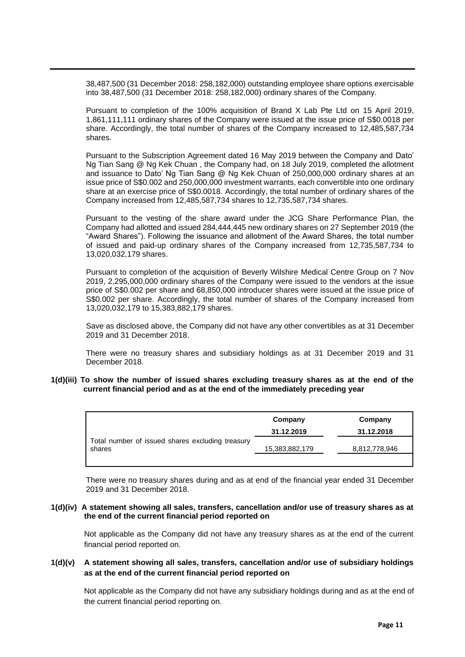38,487,500 (31 December 2018: 258,182,000) outstanding employee share options exercisable into 38,487,500 (31 December 2018: 258,182,000) ordinary shares of the Company.

Pursuant to completion of the 100% acquisition of Brand X Lab Pte Ltd on 15 April 2019, 1,861,111,111 ordinary shares of the Company were issued at the issue price of S\$0.0018 per share. Accordingly, the total number of shares of the Company increased to 12,485,587,734 shares.

Pursuant to the Subscription Agreement dated 16 May 2019 between the Company and Dato' Ng Tian Sang @ Ng Kek Chuan , the Company had, on 18 July 2019, completed the allotment and issuance to Dato' Ng Tian Sang @ Ng Kek Chuan of 250,000,000 ordinary shares at an issue price of S\$0.002 and 250,000,000 investment warrants, each convertible into one ordinary share at an exercise price of S\$0.0018. Accordingly, the total number of ordinary shares of the Company increased from 12,485,587,734 shares to 12,735,587,734 shares.

Pursuant to the vesting of the share award under the JCG Share Performance Plan, the Company had allotted and issued 284,444,445 new ordinary shares on 27 September 2019 (the "Award Shares"). Following the issuance and allotment of the Award Shares, the total number of issued and paid-up ordinary shares of the Company increased from 12,735,587,734 to 13,020,032,179 shares.

Pursuant to completion of the acquisition of Beverly Wilshire Medical Centre Group on 7 Nov 2019, 2,295,000,000 ordinary shares of the Company were issued to the vendors at the issue price of S\$0.002 per share and 68,850,000 introducer shares were issued at the issue price of S\$0.002 per share. Accordingly, the total number of shares of the Company increased from 13,020,032,179 to 15,383,882,179 shares.

Save as disclosed above, the Company did not have any other convertibles as at 31 December 2019 and 31 December 2018.

There were no treasury shares and subsidiary holdings as at 31 December 2019 and 31 December 2018.

#### **1(d)(iii) To show the number of issued shares excluding treasury shares as at the end of the current financial period and as at the end of the immediately preceding year**

|                                                            | Company<br>31.12.2019 | Company<br>31.12.2018 |
|------------------------------------------------------------|-----------------------|-----------------------|
| Total number of issued shares excluding treasury<br>shares | 15,383,882,179        | 8,812,778,946         |

There were no treasury shares during and as at end of the financial year ended 31 December 2019 and 31 December 2018.

## **1(d)(iv) A statement showing all sales, transfers, cancellation and/or use of treasury shares as at the end of the current financial period reported on**

Not applicable as the Company did not have any treasury shares as at the end of the current financial period reported on.

# **1(d)(v) A statement showing all sales, transfers, cancellation and/or use of subsidiary holdings as at the end of the current financial period reported on**

Not applicable as the Company did not have any subsidiary holdings during and as at the end of the current financial period reporting on.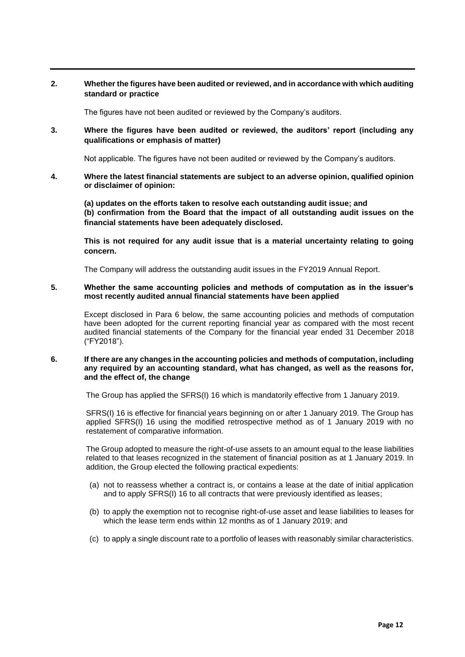# **2. Whether the figures have been audited or reviewed, and in accordance with which auditing standard or practice**

The figures have not been audited or reviewed by the Company's auditors.

**3. Where the figures have been audited or reviewed, the auditors' report (including any qualifications or emphasis of matter)**

Not applicable. The figures have not been audited or reviewed by the Company's auditors.

**4. Where the latest financial statements are subject to an adverse opinion, qualified opinion or disclaimer of opinion:** 

**(a) updates on the efforts taken to resolve each outstanding audit issue; and (b) confirmation from the Board that the impact of all outstanding audit issues on the financial statements have been adequately disclosed.** 

**This is not required for any audit issue that is a material uncertainty relating to going concern.** 

The Company will address the outstanding audit issues in the FY2019 Annual Report.

#### **5. Whether the same accounting policies and methods of computation as in the issuer's most recently audited annual financial statements have been applied**

Except disclosed in Para 6 below, the same accounting policies and methods of computation have been adopted for the current reporting financial year as compared with the most recent audited financial statements of the Company for the financial year ended 31 December 2018 ("FY2018").

#### **6. If there are any changes in the accounting policies and methods of computation, including any required by an accounting standard, what has changed, as well as the reasons for, and the effect of, the change**

The Group has applied the SFRS(I) 16 which is mandatorily effective from 1 January 2019.

SFRS(I) 16 is effective for financial years beginning on or after 1 January 2019. The Group has applied SFRS(I) 16 using the modified retrospective method as of 1 January 2019 with no restatement of comparative information.

The Group adopted to measure the right-of-use assets to an amount equal to the lease liabilities related to that leases recognized in the statement of financial position as at 1 January 2019. In addition, the Group elected the following practical expedients:

- (a) not to reassess whether a contract is, or contains a lease at the date of initial application and to apply SFRS(I) 16 to all contracts that were previously identified as leases;
- (b) to apply the exemption not to recognise right-of-use asset and lease liabilities to leases for which the lease term ends within 12 months as of 1 January 2019; and
- (c) to apply a single discount rate to a portfolio of leases with reasonably similar characteristics.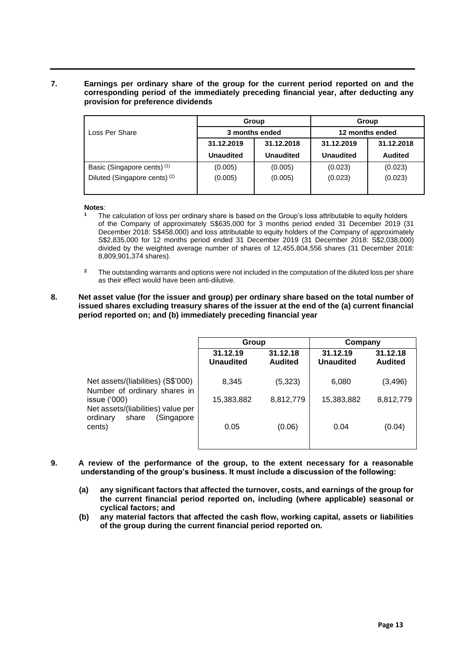# **7. Earnings per ordinary share of the group for the current period reported on and the corresponding period of the immediately preceding financial year, after deducting any provision for preference dividends**

|                                          |                  | Group            | Group            |                |  |
|------------------------------------------|------------------|------------------|------------------|----------------|--|
| Loss Per Share                           |                  | 3 months ended   | 12 months ended  |                |  |
|                                          | 31.12.2019       | 31.12.2018       | 31.12.2019       | 31.12.2018     |  |
|                                          | <b>Unaudited</b> | <b>Unaudited</b> | <b>Unaudited</b> | <b>Audited</b> |  |
| Basic (Singapore cents) <sup>(1)</sup>   | (0.005)          | (0.005)          | (0.023)          | (0.023)        |  |
| Diluted (Singapore cents) <sup>(2)</sup> | (0.005)          | (0.005)          | (0.023)          | (0.023)        |  |

**Notes**:

- **<sup>1</sup>** The calculation of loss per ordinary share is based on the Group's loss attributable to equity holders of the Company of approximately S\$635,000 for 3 months period ended 31 December 2019 (31 December 2018: S\$458,000) and loss attributable to equity holders of the Company of approximately S\$2,835,000 for 12 months period ended 31 December 2019 (31 December 2018: S\$2,038,000) divided by the weighted average number of shares of 12,455,804,556 shares (31 December 2018: 8,809,901,374 shares).
- <sup>2</sup> The outstanding warrants and options were not included in the computation of the diluted loss per share as their effect would have been anti-dilutive.

# **8. Net asset value (for the issuer and group) per ordinary share based on the total number of issued shares excluding treasury shares of the issuer at the end of the (a) current financial period reported on; and (b) immediately preceding financial year**

|                                                                    | Group                        |                            | Company                      |                            |
|--------------------------------------------------------------------|------------------------------|----------------------------|------------------------------|----------------------------|
|                                                                    | 31.12.19<br><b>Unaudited</b> | 31.12.18<br><b>Audited</b> | 31.12.19<br><b>Unaudited</b> | 31.12.18<br><b>Audited</b> |
| Net assets/(liabilities) (S\$'000)<br>Number of ordinary shares in | 8,345                        | (5, 323)                   | 6,080                        | (3, 496)                   |
| issue $(000)$<br>Net assets/(liabilities) value per                | 15,383,882                   | 8,812,779                  | 15,383,882                   | 8,812,779                  |
| (Singapore<br>ordinary<br>share<br>cents)                          | 0.05                         | (0.06)                     | 0.04                         | (0.04)                     |

- **9. A review of the performance of the group, to the extent necessary for a reasonable understanding of the group's business. It must include a discussion of the following:**
	- **(a) any significant factors that affected the turnover, costs, and earnings of the group for the current financial period reported on, including (where applicable) seasonal or cyclical factors; and**
	- **(b) any material factors that affected the cash flow, working capital, assets or liabilities of the group during the current financial period reported on.**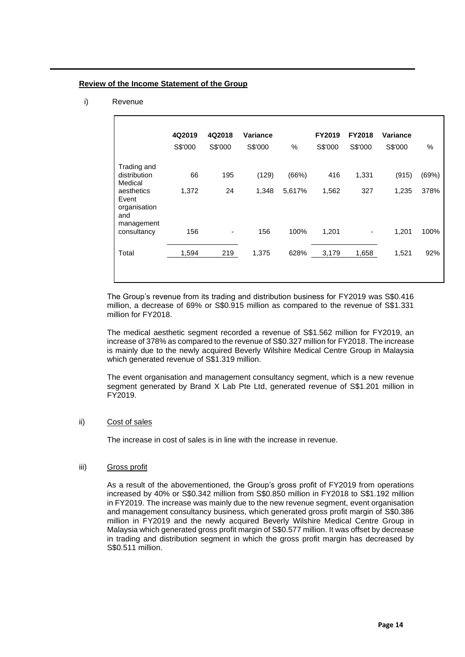#### **Review of the Income Statement of the Group**

i) Revenue

|                                            | 4Q2019<br>S\$'000 | 4Q2018<br>S\$'000 | Variance<br>S\$'000 | $\%$   | FY2019<br>S\$'000 | <b>FY2018</b><br>S\$'000 | Variance<br>S\$'000 | $\%$  |
|--------------------------------------------|-------------------|-------------------|---------------------|--------|-------------------|--------------------------|---------------------|-------|
| Trading and<br>distribution<br>Medical     | 66                | 195               | (129)               | (66%)  | 416               | 1,331                    | (915)               | (69%) |
| aesthetics<br>Event<br>organisation<br>and | 1,372             | 24                | 1,348               | 5,617% | 1,562             | 327                      | 1,235               | 378%  |
| management<br>consultancy                  | 156               |                   | 156                 | 100%   | 1,201             | -                        | 1,201               | 100%  |
| Total                                      | 1,594             | 219               | 1,375               | 628%   | 3,179             | 1,658                    | 1,521               | 92%   |

The Group's revenue from its trading and distribution business for FY2019 was S\$0.416 million, a decrease of 69% or S\$0.915 million as compared to the revenue of S\$1.331 million for FY2018.

The medical aesthetic segment recorded a revenue of S\$1.562 million for FY2019, an increase of 378% as compared to the revenue of S\$0.327 million for FY2018. The increase is mainly due to the newly acquired Beverly Wilshire Medical Centre Group in Malaysia which generated revenue of S\$1.319 million.

The event organisation and management consultancy segment, which is a new revenue segment generated by Brand X Lab Pte Ltd, generated revenue of S\$1.201 million in FY2019.

# ii) Cost of sales

The increase in cost of sales is in line with the increase in revenue.

## iii) Gross profit

As a result of the abovementioned, the Group's gross profit of FY2019 from operations increased by 40% or S\$0.342 million from S\$0.850 million in FY2018 to S\$1.192 million in FY2019. The increase was mainly due to the new revenue segment, event organisation and management consultancy business, which generated gross profit margin of S\$0.386 million in FY2019 and the newly acquired Beverly Wilshire Medical Centre Group in Malaysia which generated gross profit margin of S\$0.577 million. It was offset by decrease in trading and distribution segment in which the gross profit margin has decreased by S\$0.511 million.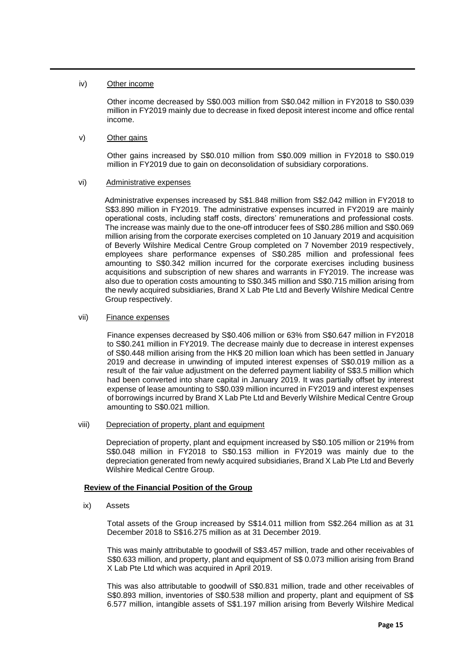# iv) Other income

Other income decreased by S\$0.003 million from S\$0.042 million in FY2018 to S\$0.039 million in FY2019 mainly due to decrease in fixed deposit interest income and office rental income.

# v) Other gains

Other gains increased by S\$0.010 million from S\$0.009 million in FY2018 to S\$0.019 million in FY2019 due to gain on deconsolidation of subsidiary corporations.

# vi) Administrative expenses

Administrative expenses increased by S\$1.848 million from S\$2.042 million in FY2018 to S\$3.890 million in FY2019. The administrative expenses incurred in FY2019 are mainly operational costs, including staff costs, directors' remunerations and professional costs. The increase was mainly due to the one-off introducer fees of S\$0.286 million and S\$0.069 million arising from the corporate exercises completed on 10 January 2019 and acquisition of Beverly Wilshire Medical Centre Group completed on 7 November 2019 respectively, employees share performance expenses of S\$0.285 million and professional fees amounting to S\$0.342 million incurred for the corporate exercises including business acquisitions and subscription of new shares and warrants in FY2019. The increase was also due to operation costs amounting to S\$0.345 million and S\$0.715 million arising from the newly acquired subsidiaries, Brand X Lab Pte Ltd and Beverly Wilshire Medical Centre Group respectively.

## vii) Finance expenses

Finance expenses decreased by S\$0.406 million or 63% from S\$0.647 million in FY2018 to S\$0.241 million in FY2019. The decrease mainly due to decrease in interest expenses of S\$0.448 million arising from the HK\$ 20 million loan which has been settled in January 2019 and decrease in unwinding of imputed interest expenses of S\$0.019 million as a result of the fair value adjustment on the deferred payment liability of S\$3.5 million which had been converted into share capital in January 2019. It was partially offset by interest expense of lease amounting to S\$0.039 million incurred in FY2019 and interest expenses of borrowings incurred by Brand X Lab Pte Ltd and Beverly Wilshire Medical Centre Group amounting to S\$0.021 million.

## viii) Depreciation of property, plant and equipment

Depreciation of property, plant and equipment increased by S\$0.105 million or 219% from S\$0.048 million in FY2018 to S\$0.153 million in FY2019 was mainly due to the depreciation generated from newly acquired subsidiaries, Brand X Lab Pte Ltd and Beverly Wilshire Medical Centre Group.

# **Review of the Financial Position of the Group**

ix) Assets

Total assets of the Group increased by S\$14.011 million from S\$2.264 million as at 31 December 2018 to S\$16.275 million as at 31 December 2019.

This was mainly attributable to goodwill of S\$3.457 million, trade and other receivables of S\$0.633 million, and property, plant and equipment of S\$ 0.073 million arising from Brand X Lab Pte Ltd which was acquired in April 2019.

This was also attributable to goodwill of S\$0.831 million, trade and other receivables of S\$0.893 million, inventories of S\$0.538 million and property, plant and equipment of S\$ 6.577 million, intangible assets of S\$1.197 million arising from Beverly Wilshire Medical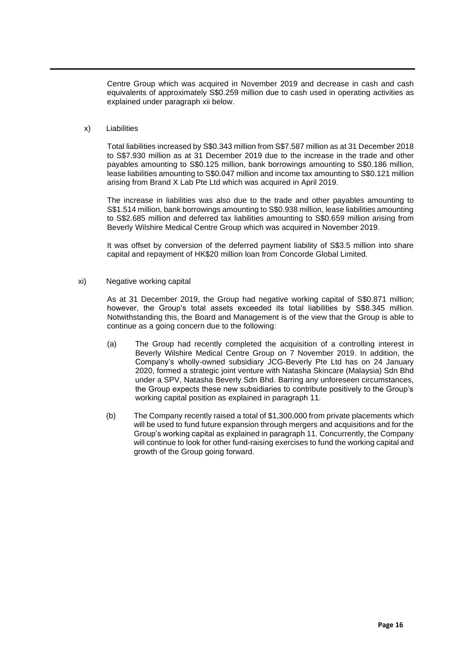Centre Group which was acquired in November 2019 and decrease in cash and cash equivalents of approximately S\$0.259 million due to cash used in operating activities as explained under paragraph xii below.

#### x) Liabilities

Total liabilities increased by S\$0.343 million from S\$7.587 million as at 31 December 2018 to S\$7.930 million as at 31 December 2019 due to the increase in the trade and other payables amounting to S\$0.125 million, bank borrowings amounting to S\$0.186 million, lease liabilities amounting to S\$0.047 million and income tax amounting to S\$0.121 million arising from Brand X Lab Pte Ltd which was acquired in April 2019.

The increase in liabilities was also due to the trade and other payables amounting to S\$1.514 million, bank borrowings amounting to S\$0.938 million, lease liabilities amounting to S\$2.685 million and deferred tax liabilities amounting to S\$0.659 million arising from Beverly Wilshire Medical Centre Group which was acquired in November 2019.

It was offset by conversion of the deferred payment liability of S\$3.5 million into share capital and repayment of HK\$20 million loan from Concorde Global Limited.

xi) Negative working capital

As at 31 December 2019, the Group had negative working capital of S\$0.871 million; however, the Group's total assets exceeded its total liabilities by S\$8.345 million. Notwithstanding this, the Board and Management is of the view that the Group is able to continue as a going concern due to the following:

- (a) The Group had recently completed the acquisition of a controlling interest in Beverly Wilshire Medical Centre Group on 7 November 2019. In addition, the Company's wholly-owned subsidiary JCG-Beverly Pte Ltd has on 24 January 2020, formed a strategic joint venture with Natasha Skincare (Malaysia) Sdn Bhd under a SPV, Natasha Beverly Sdn Bhd. Barring any unforeseen circumstances, the Group expects these new subsidiaries to contribute positively to the Group's working capital position as explained in paragraph 11.
- (b) The Company recently raised a total of \$1,300,000 from private placements which will be used to fund future expansion through mergers and acquisitions and for the Group's working capital as explained in paragraph 11. Concurrently, the Company will continue to look for other fund-raising exercises to fund the working capital and growth of the Group going forward.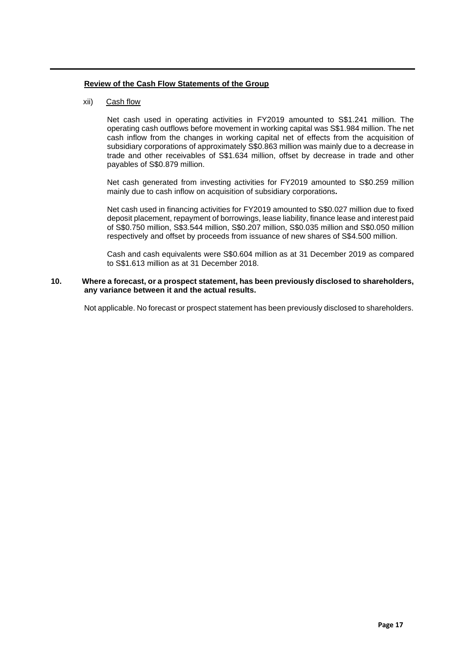# **Review of the Cash Flow Statements of the Group**

# xii) Cash flow

Net cash used in operating activities in FY2019 amounted to S\$1.241 million. The operating cash outflows before movement in working capital was S\$1.984 million. The net cash inflow from the changes in working capital net of effects from the acquisition of subsidiary corporations of approximately S\$0.863 million was mainly due to a decrease in trade and other receivables of S\$1.634 million, offset by decrease in trade and other payables of S\$0.879 million.

Net cash generated from investing activities for FY2019 amounted to S\$0.259 million mainly due to cash inflow on acquisition of subsidiary corporations*.*

Net cash used in financing activities for FY2019 amounted to S\$0.027 million due to fixed deposit placement, repayment of borrowings, lease liability, finance lease and interest paid of S\$0.750 million, S\$3.544 million, S\$0.207 million, S\$0.035 million and S\$0.050 million respectively and offset by proceeds from issuance of new shares of S\$4.500 million.

Cash and cash equivalents were S\$0.604 million as at 31 December 2019 as compared to S\$1.613 million as at 31 December 2018.

# **10. Where a forecast, or a prospect statement, has been previously disclosed to shareholders, any variance between it and the actual results.**

Not applicable. No forecast or prospect statement has been previously disclosed to shareholders.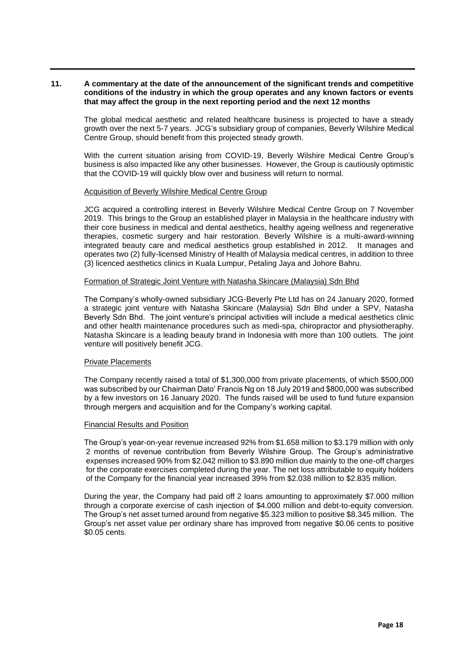## **11. A commentary at the date of the announcement of the significant trends and competitive conditions of the industry in which the group operates and any known factors or events that may affect the group in the next reporting period and the next 12 months**

The global medical aesthetic and related healthcare business is projected to have a steady growth over the next 5-7 years. JCG's subsidiary group of companies, Beverly Wilshire Medical Centre Group, should benefit from this projected steady growth.

With the current situation arising from COVID-19, Beverly Wilshire Medical Centre Group's business is also impacted like any other businesses. However, the Group is cautiously optimistic that the COVID-19 will quickly blow over and business will return to normal.

#### Acquisition of Beverly Wilshire Medical Centre Group

JCG acquired a controlling interest in Beverly Wilshire Medical Centre Group on 7 November 2019. This brings to the Group an established player in Malaysia in the healthcare industry with their core business in medical and dental aesthetics, healthy ageing wellness and regenerative therapies, cosmetic surgery and hair restoration. Beverly Wilshire is a multi-award-winning integrated beauty care and medical aesthetics group established in 2012. It manages and operates two (2) fully-licensed Ministry of Health of Malaysia medical centres, in addition to three (3) licenced aesthetics clinics in Kuala Lumpur, Petaling Jaya and Johore Bahru.

#### Formation of Strategic Joint Venture with Natasha Skincare (Malaysia) Sdn Bhd

The Company's wholly-owned subsidiary JCG-Beverly Pte Ltd has on 24 January 2020, formed a strategic joint venture with Natasha Skincare (Malaysia) Sdn Bhd under a SPV, Natasha Beverly Sdn Bhd. The joint venture's principal activities will include a medical aesthetics clinic and other health maintenance procedures such as medi-spa, chiropractor and physiotheraphy. Natasha Skincare is a leading beauty brand in Indonesia with more than 100 outlets. The joint venture will positively benefit JCG.

## Private Placements

The Company recently raised a total of \$1,300,000 from private placements, of which \$500,000 was subscribed by our Chairman Dato' Francis Ng on 18 July 2019 and \$800,000 was subscribed by a few investors on 16 January 2020. The funds raised will be used to fund future expansion through mergers and acquisition and for the Company's working capital.

## Financial Results and Position

The Group's year-on-year revenue increased 92% from \$1.658 million to \$3.179 million with only 2 months of revenue contribution from Beverly Wilshire Group. The Group's administrative expenses increased 90% from \$2.042 million to \$3.890 million due mainly to the one-off charges for the corporate exercises completed during the year. The net loss attributable to equity holders of the Company for the financial year increased 39% from \$2.038 million to \$2.835 million.

During the year, the Company had paid off 2 loans amounting to approximately \$7.000 million through a corporate exercise of cash injection of \$4.000 million and debt-to-equity conversion. The Group's net asset turned around from negative \$5.323 million to positive \$8.345 million. The Group's net asset value per ordinary share has improved from negative \$0.06 cents to positive \$0.05 cents.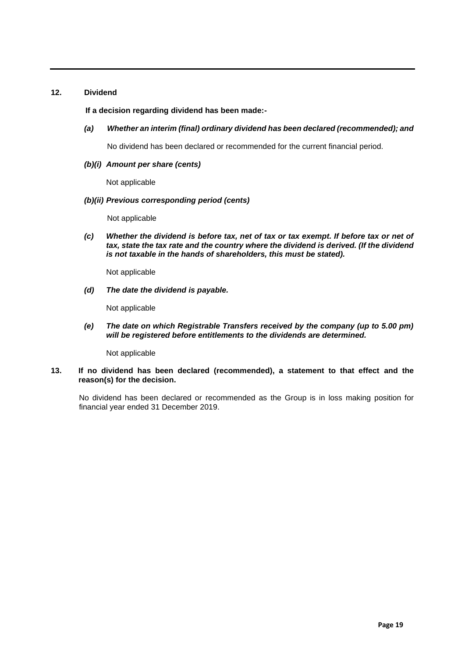# **12. Dividend**

# **If a decision regarding dividend has been made:-**

*(a) Whether an interim (final) ordinary dividend has been declared (recommended); and*

No dividend has been declared or recommended for the current financial period.

*(b)(i) Amount per share (cents)*

Not applicable

# *(b)(ii) Previous corresponding period (cents)*

Not applicable

*(c) Whether the dividend is before tax, net of tax or tax exempt. If before tax or net of*  tax, state the tax rate and the country where the dividend is derived. (If the dividend *is not taxable in the hands of shareholders, this must be stated).*

Not applicable

*(d) The date the dividend is payable.* 

Not applicable

*(e) The date on which Registrable Transfers received by the company (up to 5.00 pm) will be registered before entitlements to the dividends are determined.*

Not applicable

## **13. If no dividend has been declared (recommended), a statement to that effect and the reason(s) for the decision.**

No dividend has been declared or recommended as the Group is in loss making position for financial year ended 31 December 2019.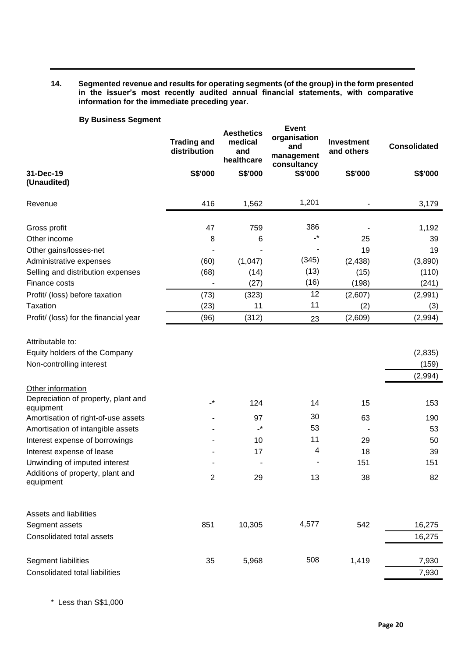# **14. Segmented revenue and results for operating segments (of the group) in the form presented in the issuer's most recently audited annual financial statements, with comparative information for the immediate preceding year.**

# **By Business Segment**

|                                               | <b>Trading and</b><br>distribution | <b>Aesthetics</b><br>medical<br>and<br>healthcare | <b>Event</b><br>organisation<br>and<br>management<br>consultancy | <b>Investment</b><br>and others | <b>Consolidated</b> |
|-----------------------------------------------|------------------------------------|---------------------------------------------------|------------------------------------------------------------------|---------------------------------|---------------------|
| 31-Dec-19<br>(Unaudited)                      | S\$'000                            | S\$'000                                           | S\$'000                                                          | S\$'000                         | S\$'000             |
| Revenue                                       | 416                                | 1,562                                             | 1,201                                                            |                                 | 3,179               |
|                                               |                                    |                                                   |                                                                  |                                 |                     |
| Gross profit                                  | 47                                 | 759                                               | 386                                                              |                                 | 1,192               |
| Other income                                  | 8                                  | 6                                                 | $\cdot^{\star}$                                                  | 25                              | 39                  |
| Other gains/losses-net                        |                                    |                                                   |                                                                  | 19                              | 19                  |
| Administrative expenses                       | (60)                               | (1,047)                                           | (345)                                                            | (2, 438)                        | (3,890)             |
| Selling and distribution expenses             | (68)                               | (14)                                              | (13)                                                             | (15)                            | (110)               |
| Finance costs                                 |                                    | (27)                                              | (16)                                                             | (198)                           | (241)               |
| Profit/ (loss) before taxation                | (73)                               | (323)                                             | 12                                                               | (2,607)                         | (2,991)             |
| Taxation                                      | (23)                               | 11                                                | 11                                                               | (2)                             | (3)                 |
| Profit/ (loss) for the financial year         | (96)                               | (312)                                             | 23                                                               | (2,609)                         | (2,994)             |
| Attributable to:                              |                                    |                                                   |                                                                  |                                 |                     |
| Equity holders of the Company                 |                                    |                                                   |                                                                  |                                 | (2,835)             |
| Non-controlling interest                      |                                    |                                                   |                                                                  |                                 | (159)               |
|                                               |                                    |                                                   |                                                                  |                                 | (2,994)             |
| Other information                             |                                    |                                                   |                                                                  |                                 |                     |
| Depreciation of property, plant and           | $\cdot^*$                          |                                                   |                                                                  |                                 |                     |
| equipment                                     |                                    | 124                                               | 14                                                               | 15                              | 153                 |
| Amortisation of right-of-use assets           |                                    | 97                                                | 30                                                               | 63                              | 190                 |
| Amortisation of intangible assets             |                                    | $\cdot^{\star}$                                   | 53                                                               |                                 | 53                  |
| Interest expense of borrowings                |                                    | 10                                                | 11                                                               | 29                              | 50                  |
| Interest expense of lease                     |                                    | 17                                                | 4                                                                | 18                              | 39                  |
| Unwinding of imputed interest                 |                                    |                                                   |                                                                  | 151                             | 151                 |
| Additions of property, plant and<br>equipment | 2                                  | 29                                                | 13                                                               | 38                              | 82                  |
| Assets and liabilities                        |                                    |                                                   |                                                                  |                                 |                     |
| Segment assets                                | 851                                | 10,305                                            | 4,577                                                            | 542                             | 16,275              |
| Consolidated total assets                     |                                    |                                                   |                                                                  |                                 | 16,275              |
|                                               |                                    |                                                   |                                                                  |                                 |                     |
| Segment liabilities                           | 35                                 | 5,968                                             | 508                                                              | 1,419                           | 7,930               |
| <b>Consolidated total liabilities</b>         |                                    |                                                   |                                                                  |                                 | 7,930               |

\* Less than S\$1,000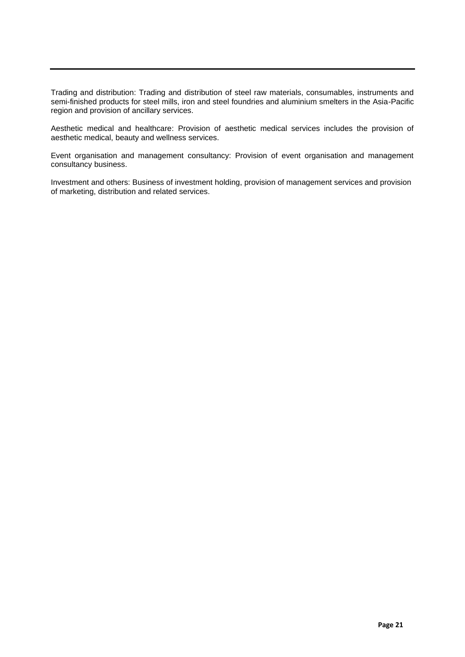Trading and distribution: Trading and distribution of steel raw materials, consumables, instruments and semi-finished products for steel mills, iron and steel foundries and aluminium smelters in the Asia-Pacific region and provision of ancillary services.

Aesthetic medical and healthcare: Provision of aesthetic medical services includes the provision of aesthetic medical, beauty and wellness services.

Event organisation and management consultancy: Provision of event organisation and management consultancy business.

Investment and others: Business of investment holding, provision of management services and provision of marketing, distribution and related services.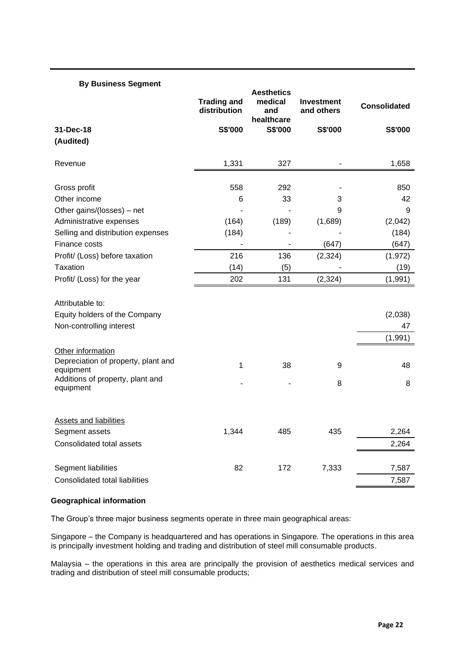| <b>By Business Segment</b>                       |                                    |                                                   |                                 |                     |
|--------------------------------------------------|------------------------------------|---------------------------------------------------|---------------------------------|---------------------|
|                                                  | <b>Trading and</b><br>distribution | <b>Aesthetics</b><br>medical<br>and<br>healthcare | <b>Investment</b><br>and others | <b>Consolidated</b> |
| 31-Dec-18                                        | S\$'000                            | S\$'000                                           | S\$'000                         | S\$'000             |
| (Audited)                                        |                                    |                                                   |                                 |                     |
| Revenue                                          | 1,331                              | 327                                               |                                 | 1,658               |
| Gross profit                                     | 558                                | 292                                               |                                 | 850                 |
| Other income                                     | 6                                  | 33                                                | 3                               | 42                  |
| Other gains/(losses) – net                       |                                    |                                                   | 9                               | 9                   |
| Administrative expenses                          | (164)                              | (189)                                             | (1,689)                         | (2,042)             |
| Selling and distribution expenses                | (184)                              |                                                   |                                 | (184)               |
| Finance costs                                    |                                    |                                                   | (647)                           | (647)               |
| Profit/ (Loss) before taxation                   | 216                                | 136                                               | (2, 324)                        | (1, 972)            |
| Taxation                                         | (14)                               | (5)                                               |                                 | (19)                |
| Profit/ (Loss) for the year                      | 202                                | 131                                               | (2, 324)                        | (1,991)             |
| Attributable to:                                 |                                    |                                                   |                                 |                     |
| Equity holders of the Company                    |                                    |                                                   |                                 | (2,038)             |
| Non-controlling interest                         |                                    |                                                   |                                 | 47                  |
|                                                  |                                    |                                                   |                                 | (1,991)             |
| Other information                                |                                    |                                                   |                                 |                     |
| Depreciation of property, plant and<br>equipment | 1                                  | 38                                                | 9                               | 48                  |
| Additions of property, plant and<br>equipment    |                                    |                                                   | 8                               | 8                   |
| <b>Assets and liabilities</b>                    |                                    |                                                   |                                 |                     |
| Segment assets                                   | 1,344                              | 485                                               | 435                             | 2,264               |
| Consolidated total assets                        |                                    |                                                   |                                 | 2,264               |
| <b>Segment liabilities</b>                       | 82                                 | 172                                               | 7,333                           | 7,587               |
| Consolidated total liabilities                   |                                    |                                                   |                                 | 7,587               |

## **Geographical information**

The Group's three major business segments operate in three main geographical areas:

Singapore – the Company is headquartered and has operations in Singapore. The operations in this area is principally investment holding and trading and distribution of steel mill consumable products.

Malaysia – the operations in this area are principally the provision of aesthetics medical services and trading and distribution of steel mill consumable products;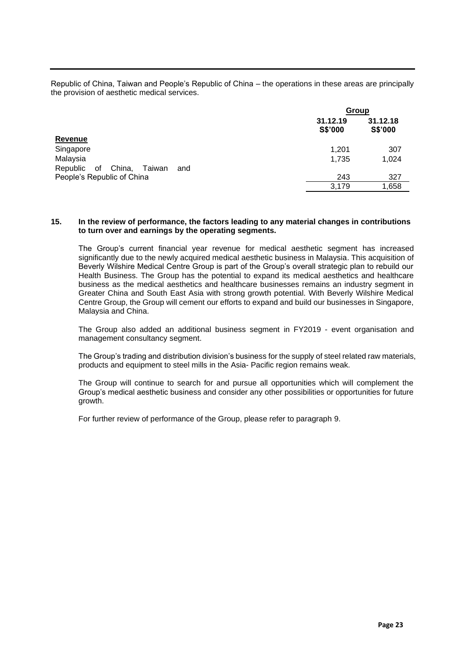Republic of China, Taiwan and People's Republic of China – the operations in these areas are principally the provision of aesthetic medical services.

|                                        | Group               |                     |
|----------------------------------------|---------------------|---------------------|
|                                        | 31.12.19<br>S\$'000 | 31.12.18<br>S\$'000 |
| <b>Revenue</b>                         |                     |                     |
| Singapore                              | 1.201               | 307                 |
| Malaysia                               | 1,735               | 1,024               |
| of China,<br>Republic<br>Taiwan<br>and |                     |                     |
| People's Republic of China             | 243                 | 327                 |
|                                        | 3.179               | 1,658               |
|                                        |                     |                     |

## **15. In the review of performance, the factors leading to any material changes in contributions to turn over and earnings by the operating segments.**

The Group's current financial year revenue for medical aesthetic segment has increased significantly due to the newly acquired medical aesthetic business in Malaysia. This acquisition of Beverly Wilshire Medical Centre Group is part of the Group's overall strategic plan to rebuild our Health Business. The Group has the potential to expand its medical aesthetics and healthcare business as the medical aesthetics and healthcare businesses remains an industry segment in Greater China and South East Asia with strong growth potential. With Beverly Wilshire Medical Centre Group, the Group will cement our efforts to expand and build our businesses in Singapore, Malaysia and China.

The Group also added an additional business segment in FY2019 - event organisation and management consultancy segment.

The Group's trading and distribution division's business for the supply of steel related raw materials, products and equipment to steel mills in the Asia- Pacific region remains weak.

The Group will continue to search for and pursue all opportunities which will complement the Group's medical aesthetic business and consider any other possibilities or opportunities for future growth.

For further review of performance of the Group, please refer to paragraph 9.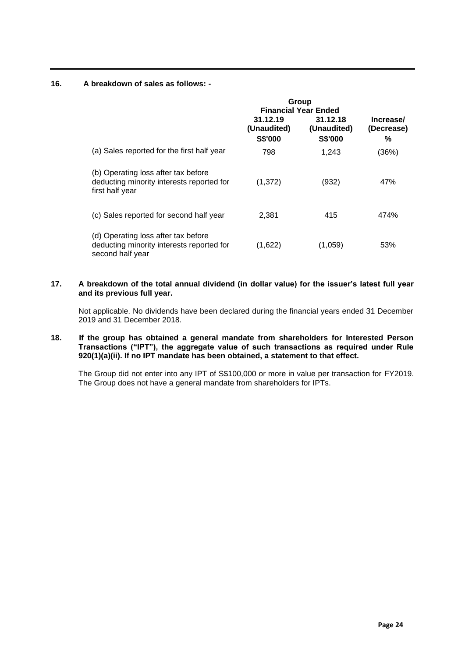# **16. A breakdown of sales as follows: -**

|                                                                                                      | Group<br><b>Financial Year Ended</b>      |                                           |                              |  |
|------------------------------------------------------------------------------------------------------|-------------------------------------------|-------------------------------------------|------------------------------|--|
|                                                                                                      | 31.12.19<br>(Unaudited)<br><b>S\$'000</b> | 31.12.18<br>(Unaudited)<br><b>S\$'000</b> | Increase/<br>(Decrease)<br>% |  |
| (a) Sales reported for the first half year                                                           | 798                                       | 1,243                                     | (36%)                        |  |
| (b) Operating loss after tax before<br>deducting minority interests reported for<br>first half year  | (1,372)                                   | (932)                                     | 47%                          |  |
| (c) Sales reported for second half year                                                              | 2,381                                     | 415                                       | 474%                         |  |
| (d) Operating loss after tax before<br>deducting minority interests reported for<br>second half year | (1,622)                                   | (1.059)                                   | 53%                          |  |

# **17. A breakdown of the total annual dividend (in dollar value) for the issuer's latest full year and its previous full year.**

Not applicable. No dividends have been declared during the financial years ended 31 December 2019 and 31 December 2018.

## **18. If the group has obtained a general mandate from shareholders for Interested Person Transactions ("IPT"), the aggregate value of such transactions as required under Rule 920(1)(a)(ii). If no IPT mandate has been obtained, a statement to that effect.**

The Group did not enter into any IPT of S\$100,000 or more in value per transaction for FY2019. The Group does not have a general mandate from shareholders for IPTs.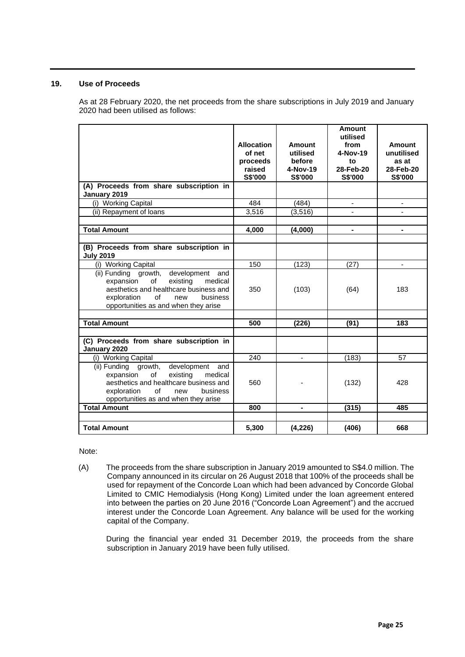# **19. Use of Proceeds**

As at 28 February 2020, the net proceeds from the share subscriptions in July 2019 and January 2020 had been utilised as follows:

|                                                                                                                                                                                                                | <b>Allocation</b><br>of net<br>proceeds<br>raised<br>S\$'000 | Amount<br>utilised<br>before<br>4-Nov-19<br>S\$'000 | <b>Amount</b><br>utilised<br>from<br>4-Nov-19<br>to<br>28-Feb-20<br>S\$'000 | <b>Amount</b><br>unutilised<br>as at<br>28-Feb-20<br>S\$'000 |
|----------------------------------------------------------------------------------------------------------------------------------------------------------------------------------------------------------------|--------------------------------------------------------------|-----------------------------------------------------|-----------------------------------------------------------------------------|--------------------------------------------------------------|
| (A) Proceeds from share subscription in                                                                                                                                                                        |                                                              |                                                     |                                                                             |                                                              |
| January 2019                                                                                                                                                                                                   |                                                              |                                                     |                                                                             |                                                              |
| (i) Working Capital                                                                                                                                                                                            | 484                                                          | (484)                                               | $\blacksquare$                                                              | ٠                                                            |
| (ii) Repayment of loans                                                                                                                                                                                        | 3,516                                                        | (3, 516)                                            |                                                                             | ÷.                                                           |
| <b>Total Amount</b>                                                                                                                                                                                            | 4,000                                                        | (4,000)                                             | $\blacksquare$                                                              |                                                              |
| (B) Proceeds from share subscription in<br><b>July 2019</b>                                                                                                                                                    |                                                              |                                                     |                                                                             |                                                              |
| (i) Working Capital                                                                                                                                                                                            | 150                                                          | (123)                                               | (27)                                                                        | ٠                                                            |
| (ii) Funding growth,<br>development<br>and<br>of<br>existing<br>expansion<br>medical<br>aesthetics and healthcare business and<br>of<br>exploration<br>new<br>business<br>opportunities as and when they arise | 350                                                          | (103)                                               | (64)                                                                        | 183                                                          |
| <b>Total Amount</b>                                                                                                                                                                                            | 500                                                          | (226)                                               | (91)                                                                        | 183                                                          |
|                                                                                                                                                                                                                |                                                              |                                                     |                                                                             |                                                              |
| (C) Proceeds from share subscription in<br>January 2020                                                                                                                                                        |                                                              |                                                     |                                                                             |                                                              |
| (i) Working Capital                                                                                                                                                                                            | 240                                                          | $\overline{\phantom{0}}$                            | (183)                                                                       | 57                                                           |
| (ii) Funding growth,<br>development<br>and<br>of<br>expansion<br>existing<br>medical<br>aesthetics and healthcare business and<br>of<br>exploration<br>business<br>new<br>opportunities as and when they arise | 560                                                          |                                                     | (132)                                                                       | 428                                                          |
| <b>Total Amount</b>                                                                                                                                                                                            | 800                                                          | $\blacksquare$                                      | (315)                                                                       | 485                                                          |
|                                                                                                                                                                                                                |                                                              |                                                     |                                                                             |                                                              |
| <b>Total Amount</b>                                                                                                                                                                                            | 5,300                                                        | (4, 226)                                            | (406)                                                                       | 668                                                          |

Note:

(A) The proceeds from the share subscription in January 2019 amounted to S\$4.0 million. The Company announced in its circular on 26 August 2018 that 100% of the proceeds shall be used for repayment of the Concorde Loan which had been advanced by Concorde Global Limited to CMIC Hemodialysis (Hong Kong) Limited under the loan agreement entered into between the parties on 20 June 2016 ("Concorde Loan Agreement") and the accrued interest under the Concorde Loan Agreement. Any balance will be used for the working capital of the Company.

During the financial year ended 31 December 2019, the proceeds from the share subscription in January 2019 have been fully utilised.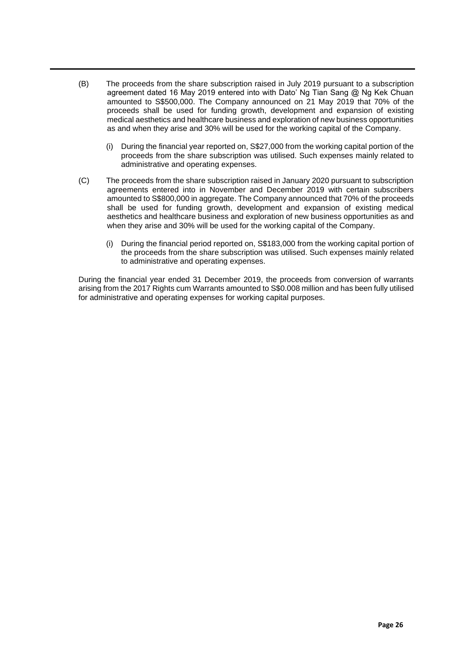- (B) The proceeds from the share subscription raised in July 2019 pursuant to a subscription agreement dated 16 May 2019 entered into with Dato' Ng Tian Sang @ Ng Kek Chuan amounted to S\$500,000. The Company announced on 21 May 2019 that 70% of the proceeds shall be used for funding growth, development and expansion of existing medical aesthetics and healthcare business and exploration of new business opportunities as and when they arise and 30% will be used for the working capital of the Company.
	- (i) During the financial year reported on, S\$27,000 from the working capital portion of the proceeds from the share subscription was utilised. Such expenses mainly related to administrative and operating expenses.
- (C) The proceeds from the share subscription raised in January 2020 pursuant to subscription agreements entered into in November and December 2019 with certain subscribers amounted to S\$800,000 in aggregate. The Company announced that 70% of the proceeds shall be used for funding growth, development and expansion of existing medical aesthetics and healthcare business and exploration of new business opportunities as and when they arise and 30% will be used for the working capital of the Company.
	- (i) During the financial period reported on, S\$183,000 from the working capital portion of the proceeds from the share subscription was utilised. Such expenses mainly related to administrative and operating expenses.

During the financial year ended 31 December 2019, the proceeds from conversion of warrants arising from the 2017 Rights cum Warrants amounted to S\$0.008 million and has been fully utilised for administrative and operating expenses for working capital purposes.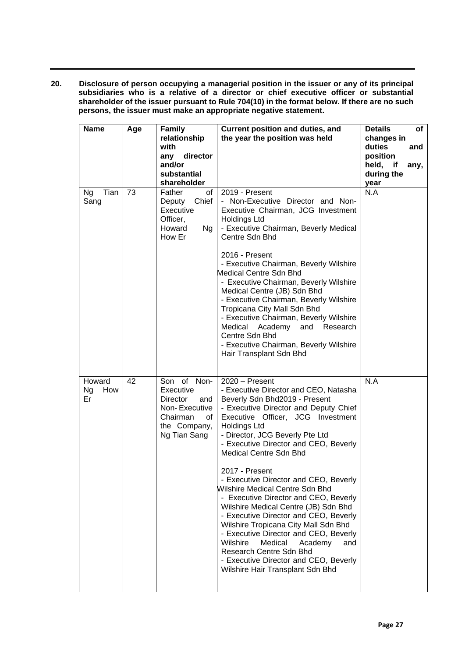**20. Disclosure of person occupying a managerial position in the issuer or any of its principal subsidiaries who is a relative of a director or chief executive officer or substantial shareholder of the issuer pursuant to Rule 704(10) in the format below. If there are no such persons, the issuer must make an appropriate negative statement.**

| <b>Name</b>                      | Age | <b>Family</b><br>relationship<br>with<br>director<br>any<br>and/or<br>substantial<br>shareholder                      | Current position and duties, and<br>the year the position was held                                                                                                                                                                                                                                                                                                                                                                                                                                                                                                                                                                                                                                                                                                     | <b>Details</b><br>of<br>changes in<br>duties<br>and<br>position<br>held, if<br>any,<br>during the<br>year |
|----------------------------------|-----|-----------------------------------------------------------------------------------------------------------------------|------------------------------------------------------------------------------------------------------------------------------------------------------------------------------------------------------------------------------------------------------------------------------------------------------------------------------------------------------------------------------------------------------------------------------------------------------------------------------------------------------------------------------------------------------------------------------------------------------------------------------------------------------------------------------------------------------------------------------------------------------------------------|-----------------------------------------------------------------------------------------------------------|
| Tian<br><b>Ng</b><br>Sang        | 73  | Father<br>of<br>Chief<br>Deputy<br>Executive<br>Officer,<br>Howard<br>Ng<br>How Er                                    | 2019 - Present<br>- Non-Executive Director and Non-<br>Executive Chairman, JCG Investment<br><b>Holdings Ltd</b><br>- Executive Chairman, Beverly Medical<br>Centre Sdn Bhd<br>2016 - Present<br>- Executive Chairman, Beverly Wilshire<br>Medical Centre Sdn Bhd<br>- Executive Chairman, Beverly Wilshire<br>Medical Centre (JB) Sdn Bhd<br>- Executive Chairman, Beverly Wilshire<br>Tropicana City Mall Sdn Bhd<br>- Executive Chairman, Beverly Wilshire<br>Medical<br>Academy<br>and<br>Research<br>Centre Sdn Bhd<br>- Executive Chairman, Beverly Wilshire<br>Hair Transplant Sdn Bhd                                                                                                                                                                          | N.A                                                                                                       |
| Howard<br><b>Ng</b><br>How<br>Er | 42  | Son of Non-<br>Executive<br><b>Director</b><br>and<br>Non-Executive<br>Chairman<br>οf<br>the Company,<br>Ng Tian Sang | $2020 -$ Present<br>- Executive Director and CEO, Natasha<br>Beverly Sdn Bhd2019 - Present<br>- Executive Director and Deputy Chief<br>Executive Officer, JCG Investment<br><b>Holdings Ltd</b><br>- Director, JCG Beverly Pte Ltd<br>- Executive Director and CEO, Beverly<br><b>Medical Centre Sdn Bhd</b><br>2017 - Present<br>- Executive Director and CEO, Beverly<br>Wilshire Medical Centre Sdn Bhd<br>- Executive Director and CEO, Beverly<br>Wilshire Medical Centre (JB) Sdn Bhd<br>- Executive Director and CEO, Beverly<br>Wilshire Tropicana City Mall Sdn Bhd<br>- Executive Director and CEO, Beverly<br>Wilshire<br>Medical<br>Academy<br>and<br>Research Centre Sdn Bhd<br>- Executive Director and CEO, Beverly<br>Wilshire Hair Transplant Sdn Bhd | N.A                                                                                                       |